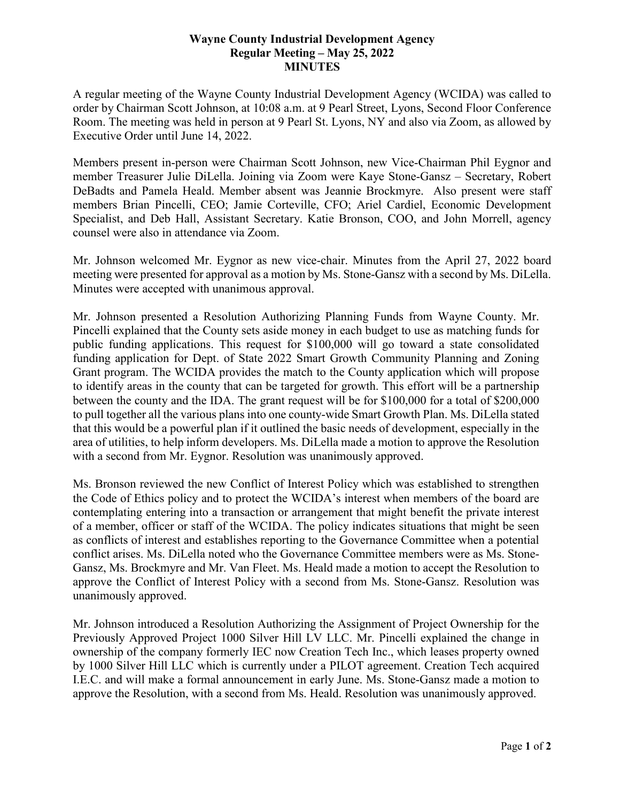## **Wayne County Industrial Development Agency Regular Meeting – May 25, 2022 MINUTES**

A regular meeting of the Wayne County Industrial Development Agency (WCIDA) was called to order by Chairman Scott Johnson, at 10:08 a.m. at 9 Pearl Street, Lyons, Second Floor Conference Room. The meeting was held in person at 9 Pearl St. Lyons, NY and also via Zoom, as allowed by Executive Order until June 14, 2022.

Members present in-person were Chairman Scott Johnson, new Vice-Chairman Phil Eygnor and member Treasurer Julie DiLella. Joining via Zoom were Kaye Stone-Gansz – Secretary, Robert DeBadts and Pamela Heald. Member absent was Jeannie Brockmyre. Also present were staff members Brian Pincelli, CEO; Jamie Corteville, CFO; Ariel Cardiel, Economic Development Specialist, and Deb Hall, Assistant Secretary. Katie Bronson, COO, and John Morrell, agency counsel were also in attendance via Zoom.

Mr. Johnson welcomed Mr. Eygnor as new vice-chair. Minutes from the April 27, 2022 board meeting were presented for approval as a motion by Ms. Stone-Gansz with a second by Ms. DiLella. Minutes were accepted with unanimous approval.

Mr. Johnson presented a Resolution Authorizing Planning Funds from Wayne County. Mr. Pincelli explained that the County sets aside money in each budget to use as matching funds for public funding applications. This request for \$100,000 will go toward a state consolidated funding application for Dept. of State 2022 Smart Growth Community Planning and Zoning Grant program. The WCIDA provides the match to the County application which will propose to identify areas in the county that can be targeted for growth. This effort will be a partnership between the county and the IDA. The grant request will be for \$100,000 for a total of \$200,000 to pull together all the various plans into one county-wide Smart Growth Plan. Ms. DiLella stated that this would be a powerful plan if it outlined the basic needs of development, especially in the area of utilities, to help inform developers. Ms. DiLella made a motion to approve the Resolution with a second from Mr. Eygnor. Resolution was unanimously approved.

Ms. Bronson reviewed the new Conflict of Interest Policy which was established to strengthen the Code of Ethics policy and to protect the WCIDA's interest when members of the board are contemplating entering into a transaction or arrangement that might benefit the private interest of a member, officer or staff of the WCIDA. The policy indicates situations that might be seen as conflicts of interest and establishes reporting to the Governance Committee when a potential conflict arises. Ms. DiLella noted who the Governance Committee members were as Ms. Stone-Gansz, Ms. Brockmyre and Mr. Van Fleet. Ms. Heald made a motion to accept the Resolution to approve the Conflict of Interest Policy with a second from Ms. Stone-Gansz. Resolution was unanimously approved.

Mr. Johnson introduced a Resolution Authorizing the Assignment of Project Ownership for the Previously Approved Project 1000 Silver Hill LV LLC. Mr. Pincelli explained the change in ownership of the company formerly IEC now Creation Tech Inc., which leases property owned by 1000 Silver Hill LLC which is currently under a PILOT agreement. Creation Tech acquired I.E.C. and will make a formal announcement in early June. Ms. Stone-Gansz made a motion to approve the Resolution, with a second from Ms. Heald. Resolution was unanimously approved.